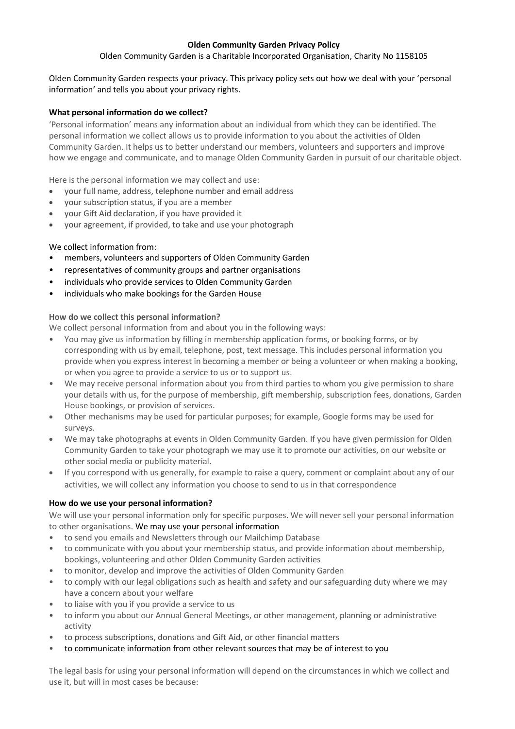# **Olden Community Garden Privacy Policy**

Olden Community Garden is a Charitable Incorporated Organisation, Charity No 1158105

Olden Community Garden respects your privacy. This privacy policy sets out how we deal with your 'personal information' and tells you about your privacy rights.

# **What personal information do we collect?**

'Personal information' means any information about an individual from which they can be identified. The personal information we collect allows us to provide information to you about the activities of Olden Community Garden. It helps us to better understand our members, volunteers and supporters and improve how we engage and communicate, and to manage Olden Community Garden in pursuit of our charitable object.

Here is the personal information we may collect and use:

- your full name, address, telephone number and email address
- your subscription status, if you are a member
- your Gift Aid declaration, if you have provided it
- your agreement, if provided, to take and use your photograph

### We collect information from:

- members, volunteers and supporters of Olden Community Garden
- representatives of community groups and partner organisations
- individuals who provide services to Olden Community Garden
- individuals who make bookings for the Garden House

# **How do we collect this personal information?**

We collect personal information from and about you in the following ways:

- You may give us information by filling in membership application forms, or booking forms, or by corresponding with us by email, telephone, post, text message. This includes personal information you provide when you express interest in becoming a member or being a volunteer or when making a booking, or when you agree to provide a service to us or to support us.
- We may receive personal information about you from third parties to whom you give permission to share your details with us, for the purpose of membership, gift membership, subscription fees, donations, Garden House bookings, or provision of services.
- Other mechanisms may be used for particular purposes; for example, Google forms may be used for surveys.
- We may take photographs at events in Olden Community Garden. If you have given permission for Olden Community Garden to take your photograph we may use it to promote our activities, on our website or other social media or publicity material.
- If you correspond with us generally, for example to raise a query, comment or complaint about any of our activities, we will collect any information you choose to send to us in that correspondence

### **How do we use your personal information?**

We will use your personal information only for specific purposes. We will never sell your personal information to other organisations. We may use your personal information

- to send you emails and Newsletters through our Mailchimp Database
- to communicate with you about your membership status, and provide information about membership, bookings, volunteering and other Olden Community Garden activities
- to monitor, develop and improve the activities of Olden Community Garden
- to comply with our legal obligations such as health and safety and our safeguarding duty where we may have a concern about your welfare
- to liaise with you if you provide a service to us
- to inform you about our Annual General Meetings, or other management, planning or administrative activity
- to process subscriptions, donations and Gift Aid, or other financial matters
- to communicate information from other relevant sources that may be of interest to you

The legal basis for using your personal information will depend on the circumstances in which we collect and use it, but will in most cases be because: